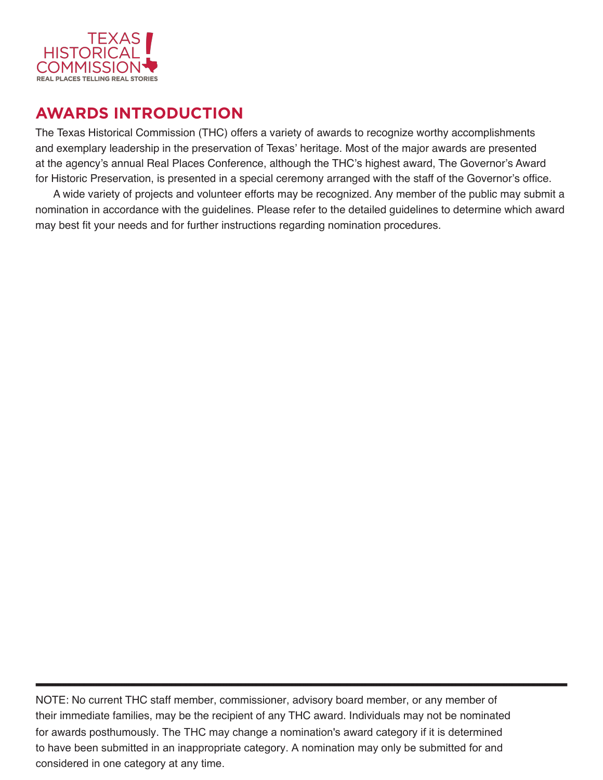

# **AWARDS INTRODUCTION**

The Texas Historical Commission (THC) offers a variety of awards to recognize worthy accomplishments and exemplary leadership in the preservation of Texas' heritage. Most of the major awards are presented at the agency's annual Real Places Conference, although the THC's highest award, The Governor's Award for Historic Preservation, is presented in a special ceremony arranged with the staff of the Governor's office.

A wide variety of projects and volunteer efforts may be recognized. Any member of the public may submit a nomination in accordance with the guidelines. Please refer to the detailed guidelines to determine which award may best fit your needs and for further instructions regarding nomination procedures.

NOTE: No current THC staff member, commissioner, advisory board member, or any member of their immediate families, may be the recipient of any THC award. Individuals may not be nominated for awards posthumously. The THC may change a nomination's award category if it is determined to have been submitted in an inappropriate category. A nomination may only be submitted for and considered in one category at any time.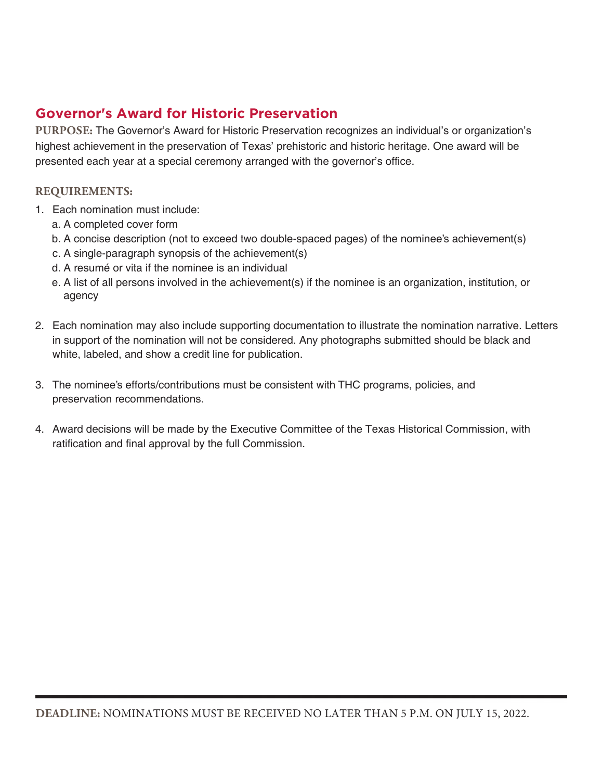## **Governor's Award for Historic Preservation**

**PURPOSE:** The Governor's Award for Historic Preservation recognizes an individual's or organization's highest achievement in the preservation of Texas' prehistoric and historic heritage. One award will be presented each year at a special ceremony arranged with the governor's office.

- 1. Each nomination must include:
	- a. A completed cover form
	- b. A concise description (not to exceed two double-spaced pages) of the nominee's achievement(s)
	- c. A single-paragraph synopsis of the achievement(s)
	- d. A resumé or vita if the nominee is an individual
	- e. A list of all persons involved in the achievement(s) if the nominee is an organization, institution, or agency
- 2. Each nomination may also include supporting documentation to illustrate the nomination narrative. Letters in support of the nomination will not be considered. Any photographs submitted should be black and white, labeled, and show a credit line for publication.
- 3. The nominee's efforts/contributions must be consistent with THC programs, policies, and preservation recommendations.
- 4. Award decisions will be made by the Executive Committee of the Texas Historical Commission, with ratification and final approval by the full Commission.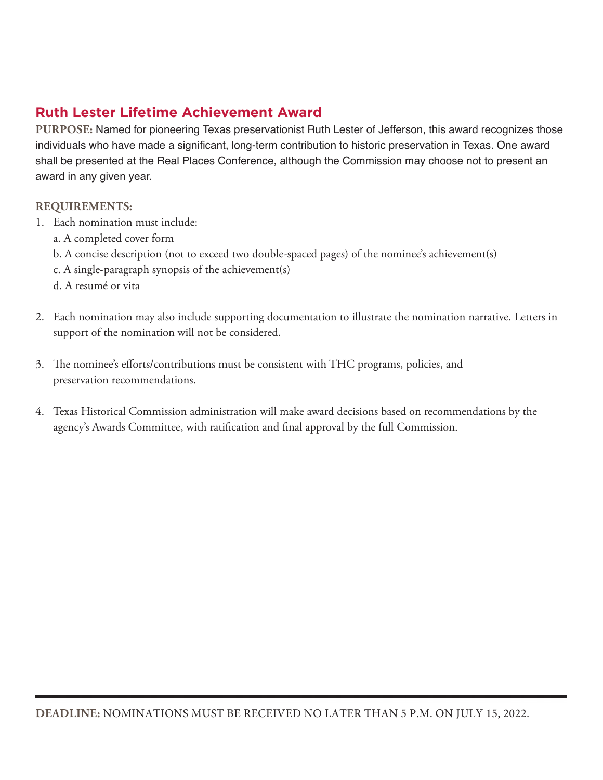## **Ruth Lester Lifetime Achievement Award**

**PURPOSE:** Named for pioneering Texas preservationist Ruth Lester of Jefferson, this award recognizes those individuals who have made a significant, long-term contribution to historic preservation in Texas. One award shall be presented at the Real Places Conference, although the Commission may choose not to present an award in any given year.

- 1. Each nomination must include:
	- a. A completed cover form
	- b. A concise description (not to exceed two double-spaced pages) of the nominee's achievement(s)
	- c. A single-paragraph synopsis of the achievement(s)
	- d. A resumé or vita
- 2. Each nomination may also include supporting documentation to illustrate the nomination narrative. Letters in support of the nomination will not be considered.
- 3. The nominee's efforts/contributions must be consistent with THC programs, policies, and preservation recommendations.
- 4. Texas Historical Commission administration will make award decisions based on recommendations by the agency's Awards Committee, with ratification and final approval by the full Commission.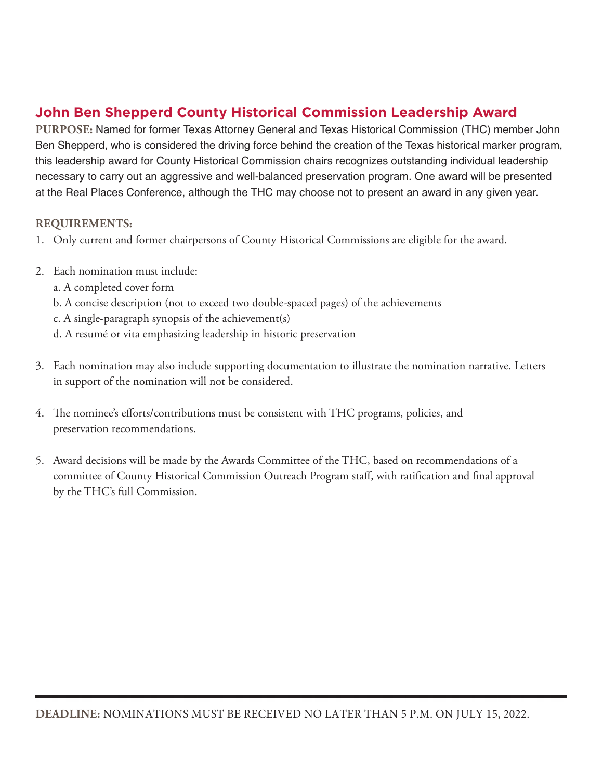## **John Ben Shepperd County Historical Commission Leadership Award**

**PURPOSE:** Named for former Texas Attorney General and Texas Historical Commission (THC) member John Ben Shepperd, who is considered the driving force behind the creation of the Texas historical marker program, this leadership award for County Historical Commission chairs recognizes outstanding individual leadership necessary to carry out an aggressive and well-balanced preservation program. One award will be presented at the Real Places Conference, although the THC may choose not to present an award in any given year.

- 1. Only current and former chairpersons of County Historical Commissions are eligible for the award.
- 2. Each nomination must include:
	- a. A completed cover form
	- b. A concise description (not to exceed two double-spaced pages) of the achievements
	- c. A single-paragraph synopsis of the achievement(s)
	- d. A resumé or vita emphasizing leadership in historic preservation
- 3. Each nomination may also include supporting documentation to illustrate the nomination narrative. Letters in support of the nomination will not be considered.
- 4. The nominee's efforts/contributions must be consistent with THC programs, policies, and preservation recommendations.
- 5. Award decisions will be made by the Awards Committee of the THC, based on recommendations of a committee of County Historical Commission Outreach Program staff, with ratification and final approval by the THC's full Commission.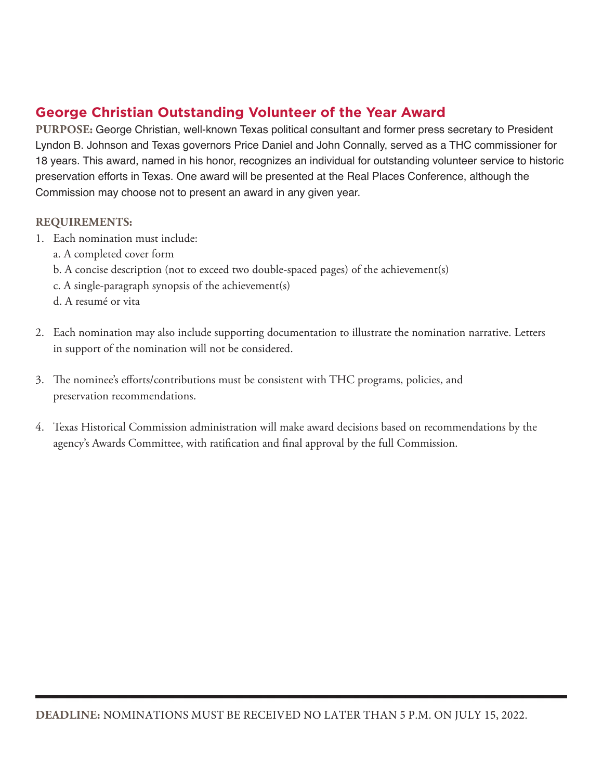## **George Christian Outstanding Volunteer of the Year Award**

**PURPOSE:** George Christian, well-known Texas political consultant and former press secretary to President Lyndon B. Johnson and Texas governors Price Daniel and John Connally, served as a THC commissioner for 18 years. This award, named in his honor, recognizes an individual for outstanding volunteer service to historic preservation efforts in Texas. One award will be presented at the Real Places Conference, although the Commission may choose not to present an award in any given year.

- 1. Each nomination must include:
	- a. A completed cover form
	- b. A concise description (not to exceed two double-spaced pages) of the achievement(s)
	- c. A single-paragraph synopsis of the achievement(s)
	- d. A resumé or vita
- 2. Each nomination may also include supporting documentation to illustrate the nomination narrative. Letters in support of the nomination will not be considered.
- 3. The nominee's efforts/contributions must be consistent with THC programs, policies, and preservation recommendations.
- 4. Texas Historical Commission administration will make award decisions based on recommendations by the agency's Awards Committee, with ratification and final approval by the full Commission.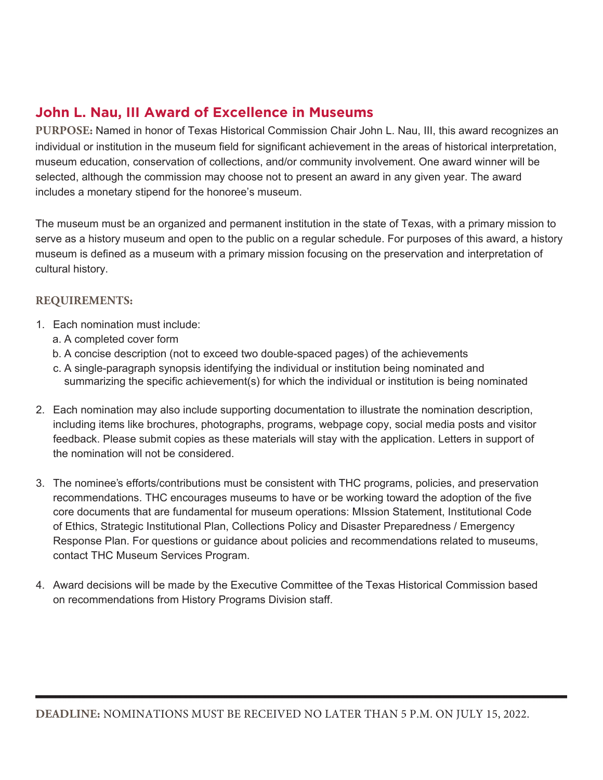## **John L. Nau, III Award of Excellence in Museums**

**PURPOSE:** Named in honor of Texas Historical Commission Chair John L. Nau, III, this award recognizes an individual or institution in the museum field for significant achievement in the areas of historical interpretation, museum education, conservation of collections, and/or community involvement. One award winner will be selected, although the commission may choose not to present an award in any given year. The award includes a monetary stipend for the honoree's museum.

The museum must be an organized and permanent institution in the state of Texas, with a primary mission to serve as a history museum and open to the public on a regular schedule. For purposes of this award, a history museum is defined as a museum with a primary mission focusing on the preservation and interpretation of cultural history.

- 1. Each nomination must include:
	- a. A completed cover form
	- b. A concise description (not to exceed two double-spaced pages) of the achievements
	- c. A single-paragraph synopsis identifying the individual or institution being nominated and summarizing the specific achievement(s) for which the individual or institution is being nominated
- 2. Each nomination may also include supporting documentation to illustrate the nomination description, including items like brochures, photographs, programs, webpage copy, social media posts and visitor feedback. Please submit copies as these materials will stay with the application. Letters in support of the nomination will not be considered.
- 3. The nominee's efforts/contributions must be consistent with THC programs, policies, and preservation recommendations. THC encourages museums to have or be working toward the adoption of the five core documents that are fundamental for museum operations: MIssion Statement, Institutional Code of Ethics, Strategic Institutional Plan, Collections Policy and Disaster Preparedness / Emergency Response Plan. For questions or guidance about policies and recommendations related to museums, contact THC Museum Services Program.
- 4. Award decisions will be made by the Executive Committee of the Texas Historical Commission based on recommendations from History Programs Division staff.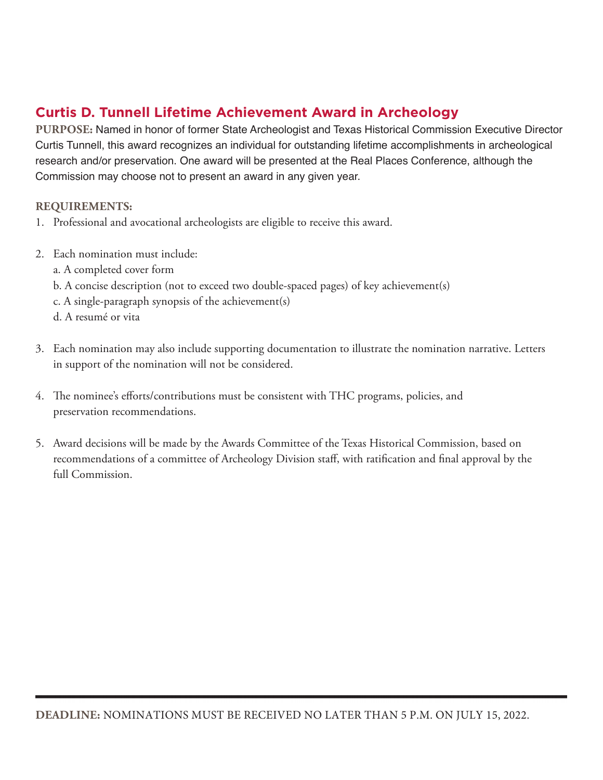## **Curtis D. Tunnell Lifetime Achievement Award in Archeology**

**PURPOSE:** Named in honor of former State Archeologist and Texas Historical Commission Executive Director Curtis Tunnell, this award recognizes an individual for outstanding lifetime accomplishments in archeological research and/or preservation. One award will be presented at the Real Places Conference, although the Commission may choose not to present an award in any given year.

- 1. Professional and avocational archeologists are eligible to receive this award.
- 2. Each nomination must include:
	- a. A completed cover form
	- b. A concise description (not to exceed two double-spaced pages) of key achievement(s)
	- c. A single-paragraph synopsis of the achievement(s)
	- d. A resumé or vita
- 3. Each nomination may also include supporting documentation to illustrate the nomination narrative. Letters in support of the nomination will not be considered.
- 4. The nominee's efforts/contributions must be consistent with THC programs, policies, and preservation recommendations.
- 5. Award decisions will be made by the Awards Committee of the Texas Historical Commission, based on recommendations of a committee of Archeology Division staff, with ratification and final approval by the full Commission.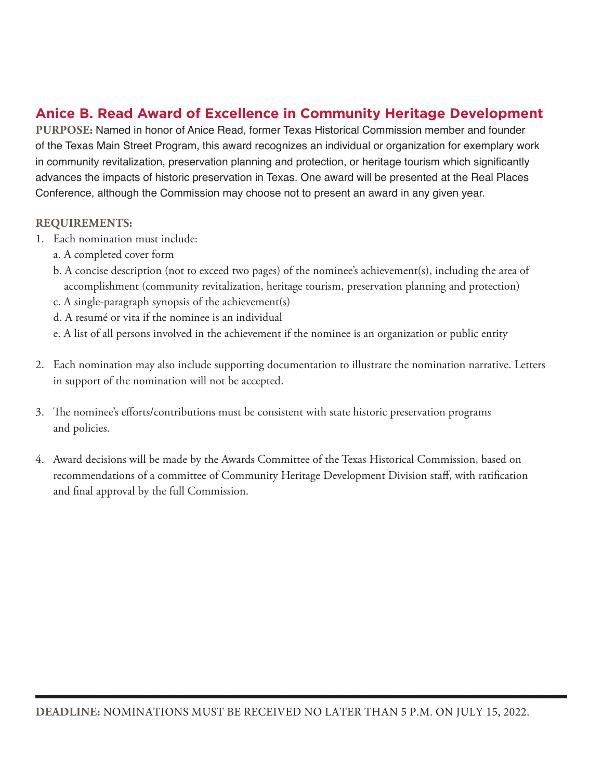### **Anice B. Read Award of Excellence in Community Heritage Development**

**PURPOSE:** Named in honor of Anice Read, former Texas Historical Commission member and founder of the Texas Main Street Program, this award recognizes an individual or organization for exemplary work in community revitalization, preservation planning and protection, or heritage tourism which significantly advances the impacts of historic preservation in Texas. One award will be presented at the Real Places Conference, although the Commission may choose not to present an award in any given year.

- 1. Each nomination must include:
	- a. A completed cover form
	- b. A concise description (not to exceed two pages) of the nominee's achievement(s), including the area of accomplishment (community revitalization, heritage tourism, preservation planning and protection)
	- c. A single-paragraph synopsis of the achievement(s)
	- d. A resumé or vita if the nominee is an individual
	- e. A list of all persons involved in the achievement if the nominee is an organization or public entity
- 2. Each nomination may also include supporting documentation to illustrate the nomination narrative. Letters in support of the nomination will not be accepted.
- 3. The nominee's efforts/contributions must be consistent with state historic preservation programs and policies.
- 4. Award decisions will be made by the Awards Committee of the Texas Historical Commission, based on recommendations of a committee of Community Heritage Development Division staff, with ratification and final approval by the full Commission.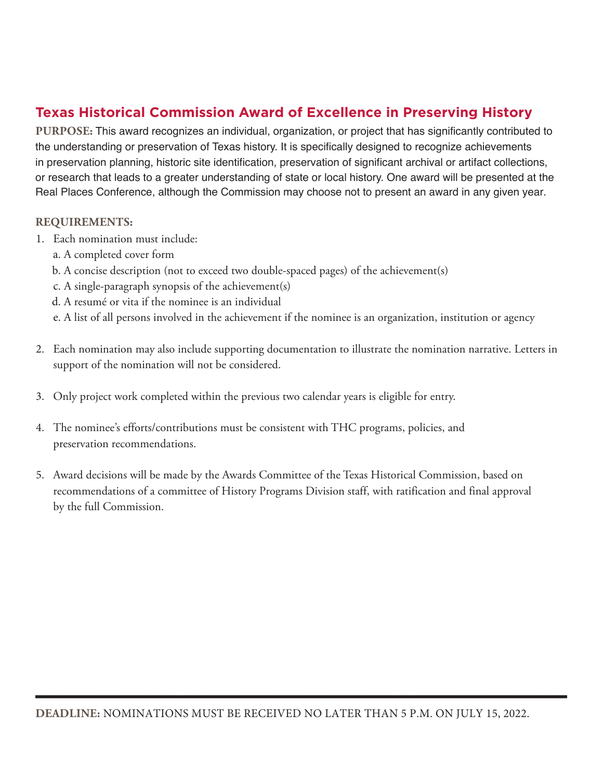## **Texas Historical Commission Award of Excellence in Preserving History**

**PURPOSE:** This award recognizes an individual, organization, or project that has significantly contributed to the understanding or preservation of Texas history. It is specifically designed to recognize achievements in preservation planning, historic site identification, preservation of significant archival or artifact collections, or research that leads to a greater understanding of state or local history. One award will be presented at the Real Places Conference, although the Commission may choose not to present an award in any given year.

- 1. Each nomination must include:
	- a. A completed cover form
	- b. A concise description (not to exceed two double-spaced pages) of the achievement(s)
	- c. A single-paragraph synopsis of the achievement(s)
	- d. A resumé or vita if the nominee is an individual
	- e. A list of all persons involved in the achievement if the nominee is an organization, institution or agency
- 2. Each nomination may also include supporting documentation to illustrate the nomination narrative. Letters in support of the nomination will not be considered.
- 3. Only project work completed within the previous two calendar years is eligible for entry.
- 4. The nominee's efforts/contributions must be consistent with THC programs, policies, and preservation recommendations.
- 5. Award decisions will be made by the Awards Committee of the Texas Historical Commission, based on recommendations of a committee of History Programs Division staff, with ratification and final approval by the full Commission.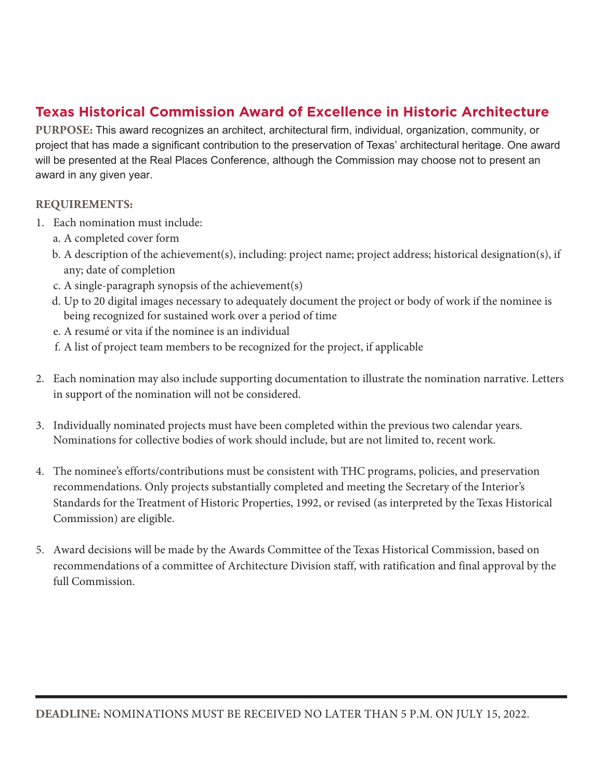## **Texas Historical Commission Award of Excellence in Historic Architecture**

**PURPOSE:** This award recognizes an architect, architectural firm, individual, organization, community, or project that has made a significant contribution to the preservation of Texas' architectural heritage. One award will be presented at the Real Places Conference, although the Commission may choose not to present an award in any given year.

- 1. Each nomination must include:
	- a. A completed cover form
	- b. A description of the achievement(s), including: project name; project address; historical designation(s), if any; date of completion
	- c. A single-paragraph synopsis of the achievement(s)
	- d. Up to 20 digital images necessary to adequately document the project or body of work if the nominee is being recognized for sustained work over a period of time
	- e. A resumé or vita if the nominee is an individual
	- f. A list of project team members to be recognized for the project, if applicable
- 2. Each nomination may also include supporting documentation to illustrate the nomination narrative. Letters in support of the nomination will not be considered.
- 3. Individually nominated projects must have been completed within the previous two calendar years. Nominations for collective bodies of work should include, but are not limited to, recent work.
- 4. The nominee's efforts/contributions must be consistent with THC programs, policies, and preservation recommendations. Only projects substantially completed and meeting the Secretary of the Interior's Standards for the Treatment of Historic Properties, 1992, or revised (as interpreted by the Texas Historical Commission) are eligible.
- 5. Award decisions will be made by the Awards Committee of the Texas Historical Commission, based on recommendations of a committee of Architecture Division staff, with ratification and final approval by the full Commission.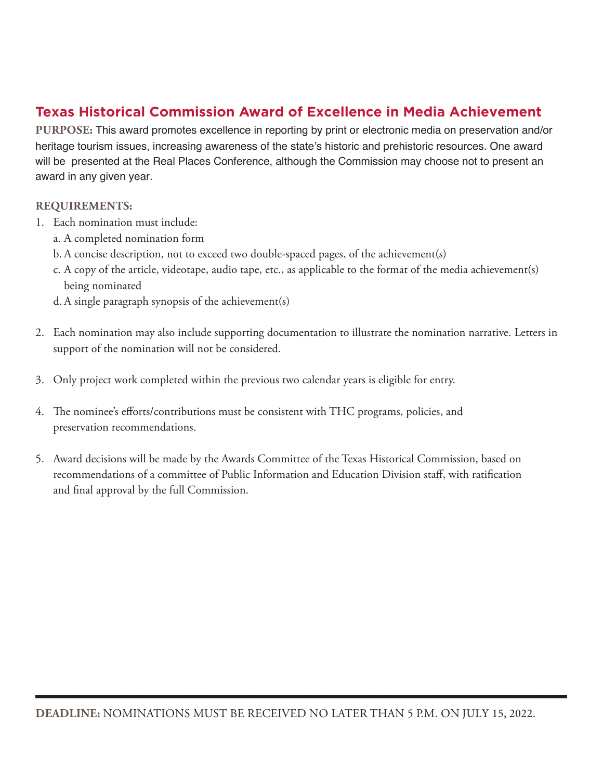## **Texas Historical Commission Award of Excellence in Media Achievement**

**PURPOSE:** This award promotes excellence in reporting by print or electronic media on preservation and/or heritage tourism issues, increasing awareness of the state's historic and prehistoric resources. One award will be presented at the Real Places Conference, although the Commission may choose not to present an award in any given year.

- 1. Each nomination must include:
	- a. A completed nomination form
	- b. A concise description, not to exceed two double-spaced pages, of the achievement(s)
	- c. A copy of the article, videotape, audio tape, etc., as applicable to the format of the media achievement(s) being nominated
	- d. A single paragraph synopsis of the achievement(s)
- 2. Each nomination may also include supporting documentation to illustrate the nomination narrative. Letters in support of the nomination will not be considered.
- 3. Only project work completed within the previous two calendar years is eligible for entry.
- 4. The nominee's efforts/contributions must be consistent with THC programs, policies, and preservation recommendations.
- 5. Award decisions will be made by the Awards Committee of the Texas Historical Commission, based on recommendations of a committee of Public Information and Education Division staff, with ratification and final approval by the full Commission.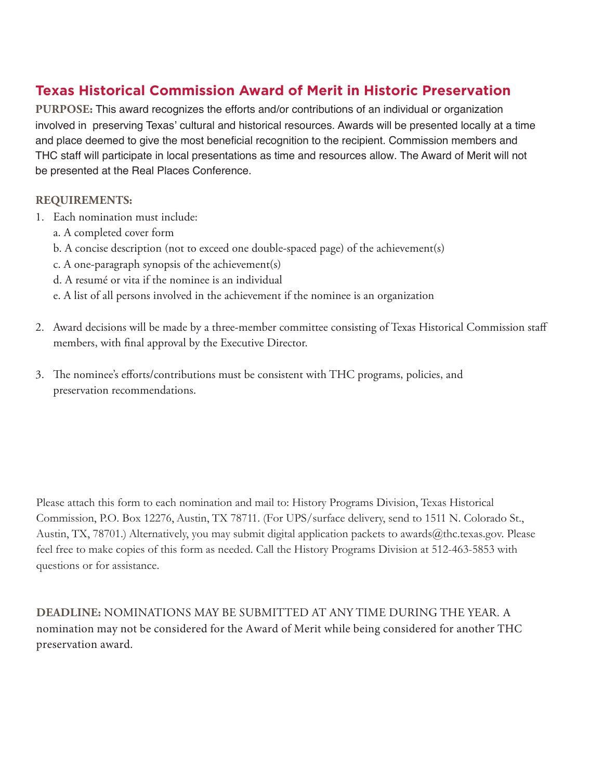## **Texas Historical Commission Award of Merit in Historic Preservation**

**PURPOSE:** This award recognizes the efforts and/or contributions of an individual or organization involved in preserving Texas' cultural and historical resources. Awards will be presented locally at a time and place deemed to give the most beneficial recognition to the recipient. Commission members and THC staff will participate in local presentations as time and resources allow. The Award of Merit will not be presented at the Real Places Conference.

### **REQUIREMENTS:**

- 1. Each nomination must include:
	- a. A completed cover form
	- b. A concise description (not to exceed one double-spaced page) of the achievement(s)
	- c. A one-paragraph synopsis of the achievement(s)
	- d. A resumé or vita if the nominee is an individual
	- e. A list of all persons involved in the achievement if the nominee is an organization
- 2. Award decisions will be made by a three-member committee consisting of Texas Historical Commission staff members, with final approval by the Executive Director.
- 3. The nominee's efforts/contributions must be consistent with THC programs, policies, and preservation recommendations.

Please attach this form to each nomination and mail to: History Programs Division, Texas Historical Commission, P.O. Box 12276, Austin, TX 78711. (For UPS/surface delivery, send to 1511 N. Colorado St., Austin, TX, 78701.) Alternatively, you may submit digital application packets to awards@thc.texas.gov. Please feel free to make copies of this form as needed. Call the History Programs Division at 512-463-5853 with questions or for assistance.

**DEADLINE:** NOMINATIONS MAY BE SUBMITTED AT ANY TIME DURING THE YEAR. A nomination may not be considered for the Award of Merit while being considered for another THC preservation award.